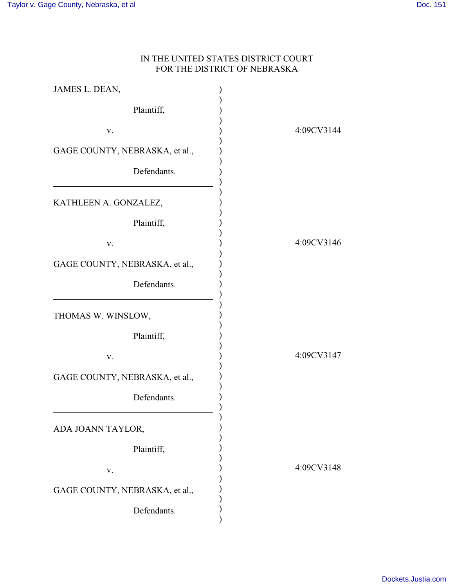## IN THE UNITED STATES DISTRICT COURT FOR THE DISTRICT OF NEBRASKA

| JAMES L. DEAN,                 |            |
|--------------------------------|------------|
| Plaintiff,                     |            |
| V.                             | 4:09CV3144 |
| GAGE COUNTY, NEBRASKA, et al., |            |
| Defendants.                    |            |
| KATHLEEN A. GONZALEZ,          |            |
| Plaintiff,                     |            |
| V.                             | 4:09CV3146 |
| GAGE COUNTY, NEBRASKA, et al., |            |
| Defendants.                    |            |
| THOMAS W. WINSLOW,             |            |
| Plaintiff,                     |            |
| V.                             | 4:09CV3147 |
| GAGE COUNTY, NEBRASKA, et al., |            |
| Defendants.                    |            |
| ADA JOANN TAYLOR,              |            |
| Plaintiff,                     |            |
| V.                             | 4:09CV3148 |
| GAGE COUNTY, NEBRASKA, et al., |            |
| Defendants.                    |            |